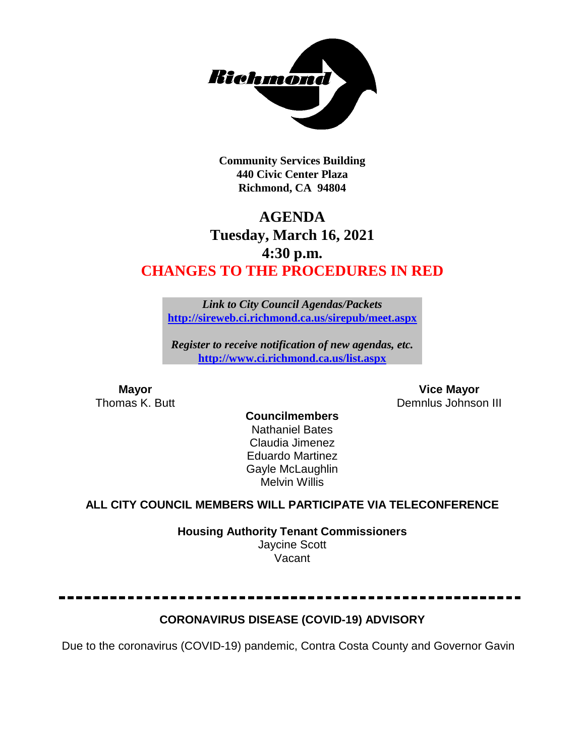

**Community Services Building 440 Civic Center Plaza Richmond, CA 94804**

## **AGENDA Tuesday, March 16, 2021 4:30 p.m. CHANGES TO THE PROCEDURES IN RED**

*Link to City Council Agendas/Packets* **<http://sireweb.ci.richmond.ca.us/sirepub/meet.aspx>**

*Register to receive notification of new agendas, etc.* **<http://www.ci.richmond.ca.us/list.aspx>**

**Mayor Mayor Vice Mayor Vice Mayor Vice Mayor Vice Mayor Vice Mayor Vice Mayor Vice Mayor Vice Mayor Vice Mayor Vice Mayor Vice Mayor Vice Mayor Vice Mayor Vice Mayor Vice Mayor Vice Mayor** Demnlus Johnson III

#### **Councilmembers** Nathaniel Bates Claudia Jimenez Eduardo Martinez Gayle McLaughlin Melvin Willis

### **ALL CITY COUNCIL MEMBERS WILL PARTICIPATE VIA TELECONFERENCE**

**Housing Authority Tenant Commissioners** Jaycine Scott Vacant

### **CORONAVIRUS DISEASE (COVID-19) ADVISORY**

Due to the coronavirus (COVID-19) pandemic, Contra Costa County and Governor Gavin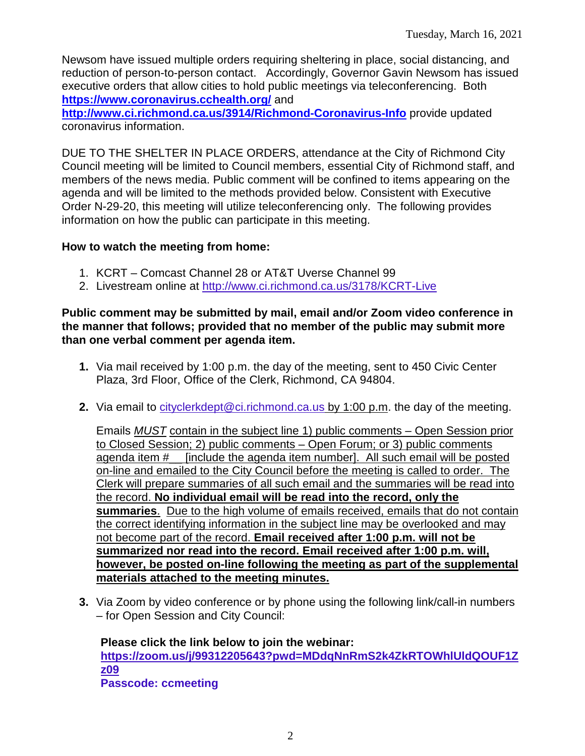Newsom have issued multiple orders requiring sheltering in place, social distancing, and reduction of person-to-person contact. Accordingly, Governor Gavin Newsom has issued executive orders that allow cities to hold public meetings via teleconferencing. Both **<https://www.coronavirus.cchealth.org/>** and

**<http://www.ci.richmond.ca.us/3914/Richmond-Coronavirus-Info>** provide updated coronavirus information.

DUE TO THE SHELTER IN PLACE ORDERS, attendance at the City of Richmond City Council meeting will be limited to Council members, essential City of Richmond staff, and members of the news media. Public comment will be confined to items appearing on the agenda and will be limited to the methods provided below. Consistent with Executive Order N-29-20, this meeting will utilize teleconferencing only. The following provides information on how the public can participate in this meeting.

### **How to watch the meeting from home:**

- 1. KCRT Comcast Channel 28 or AT&T Uverse Channel 99
- 2. Livestream online at<http://www.ci.richmond.ca.us/3178/KCRT-Live>

### **Public comment may be submitted by mail, email and/or Zoom video conference in the manner that follows; provided that no member of the public may submit more than one verbal comment per agenda item.**

- **1.** Via mail received by 1:00 p.m. the day of the meeting, sent to 450 Civic Center Plaza, 3rd Floor, Office of the Clerk, Richmond, CA 94804.
- **2.** Via email to [cityclerkdept@ci.richmond.ca.us](mailto:cityclerkdept@ci.richmond.ca.us) by 1:00 p.m. the day of the meeting.

Emails *MUST* contain in the subject line 1) public comments – Open Session prior to Closed Session; 2) public comments – Open Forum; or 3) public comments agenda item #\_\_ [include the agenda item number]. All such email will be posted on-line and emailed to the City Council before the meeting is called to order. The Clerk will prepare summaries of all such email and the summaries will be read into the record. **No individual email will be read into the record, only the summaries**. Due to the high volume of emails received, emails that do not contain the correct identifying information in the subject line may be overlooked and may not become part of the record. **Email received after 1:00 p.m. will not be summarized nor read into the record. Email received after 1:00 p.m. will, however, be posted on-line following the meeting as part of the supplemental materials attached to the meeting minutes.**

**3.** Via Zoom by video conference or by phone using the following link/call-in numbers – for Open Session and City Council:

**Please click the link below to join the webinar: [https://zoom.us/j/99312205643?pwd=MDdqNnRmS2k4ZkRTOWhlUldQOUF1Z](https://zoom.us/j/99312205643?pwd=MDdqNnRmS2k4ZkRTOWhlUldQOUF1Zz09) [z09](https://zoom.us/j/99312205643?pwd=MDdqNnRmS2k4ZkRTOWhlUldQOUF1Zz09) Passcode: ccmeeting**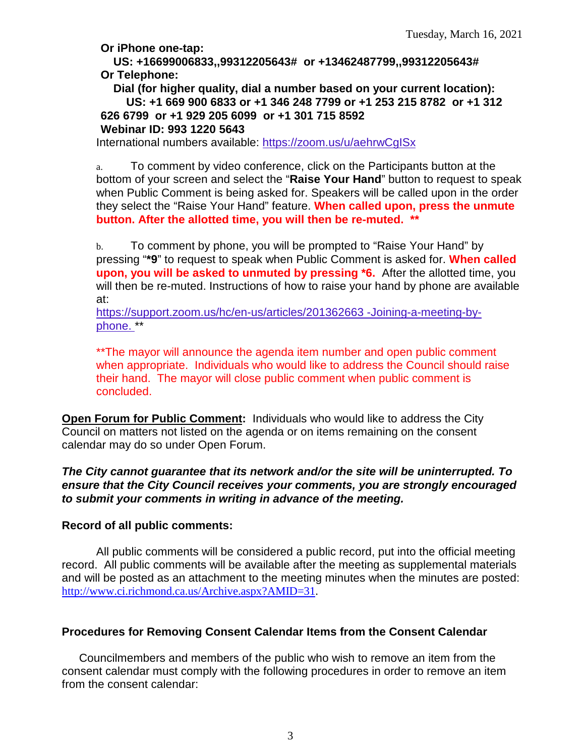**Or iPhone one-tap:**

**US: +16699006833,,99312205643# or +13462487799,,99312205643# Or Telephone:**

**Dial (for higher quality, dial a number based on your current location): US: +1 669 900 6833 or +1 346 248 7799 or +1 253 215 8782 or +1 312 626 6799 or +1 929 205 6099 or +1 301 715 8592 Webinar ID: 993 1220 5643**

International numbers available: <https://zoom.us/u/aehrwCgISx>

a. To comment by video conference, click on the Participants button at the bottom of your screen and select the "**Raise Your Hand**" button to request to speak when Public Comment is being asked for. Speakers will be called upon in the order they select the "Raise Your Hand" feature. **When called upon, press the unmute button. After the allotted time, you will then be re-muted. \*\***

b. To comment by phone, you will be prompted to "Raise Your Hand" by pressing "**\*9**" to request to speak when Public Comment is asked for. **When called upon, you will be asked to unmuted by pressing \*6.** After the allotted time, you will then be re-muted. Instructions of how to raise your hand by phone are available at:

[https://support.zoom.us/hc/en-us/articles/201362663 -Joining-a-meeting-by](https://support.zoom.us/hc/en-us/articles/201362663)[phone.](https://support.zoom.us/hc/en-us/articles/201362663) \*\*

\*\*The mayor will announce the agenda item number and open public comment when appropriate. Individuals who would like to address the Council should raise their hand. The mayor will close public comment when public comment is concluded.

**Open Forum for Public Comment:** Individuals who would like to address the City Council on matters not listed on the agenda or on items remaining on the consent calendar may do so under Open Forum.

### *The City cannot guarantee that its network and/or the site will be uninterrupted. To ensure that the City Council receives your comments, you are strongly encouraged to submit your comments in writing in advance of the meeting.*

### **Record of all public comments:**

All public comments will be considered a public record, put into the official meeting record. All public comments will be available after the meeting as supplemental materials and will be posted as an attachment to the meeting minutes when the minutes are posted: [http://www.ci.richmond.ca.us/Archive.aspx?AMID=31.](http://www.ci.richmond.ca.us/Archive.aspx?AMID=31)

### **Procedures for Removing Consent Calendar Items from the Consent Calendar**

Councilmembers and members of the public who wish to remove an item from the consent calendar must comply with the following procedures in order to remove an item from the consent calendar: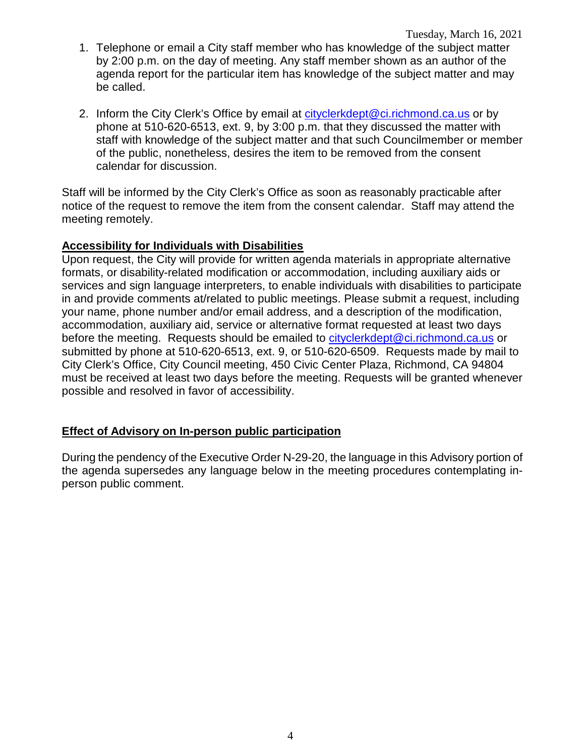- 1. Telephone or email a City staff member who has knowledge of the subject matter by 2:00 p.m. on the day of meeting. Any staff member shown as an author of the agenda report for the particular item has knowledge of the subject matter and may be called.
- 2. Inform the City Clerk's Office by email at [cityclerkdept@ci.richmond.ca.us](mailto:cityclerkdept@ci.richmond.ca.us) or by phone at 510-620-6513, ext. 9, by 3:00 p.m. that they discussed the matter with staff with knowledge of the subject matter and that such Councilmember or member of the public, nonetheless, desires the item to be removed from the consent calendar for discussion.

Staff will be informed by the City Clerk's Office as soon as reasonably practicable after notice of the request to remove the item from the consent calendar. Staff may attend the meeting remotely.

### **Accessibility for Individuals with Disabilities**

Upon request, the City will provide for written agenda materials in appropriate alternative formats, or disability-related modification or accommodation, including auxiliary aids or services and sign language interpreters, to enable individuals with disabilities to participate in and provide comments at/related to public meetings. Please submit a request, including your name, phone number and/or email address, and a description of the modification, accommodation, auxiliary aid, service or alternative format requested at least two days before the meeting. Requests should be emailed to [cityclerkdept@ci.richmond.ca.us](mailto:cityclerkdept@ci.richmond.ca.us) or submitted by phone at 510-620-6513, ext. 9, or 510-620-6509. Requests made by mail to City Clerk's Office, City Council meeting, 450 Civic Center Plaza, Richmond, CA 94804 must be received at least two days before the meeting. Requests will be granted whenever possible and resolved in favor of accessibility.

### **Effect of Advisory on In-person public participation**

During the pendency of the Executive Order N-29-20, the language in this Advisory portion of the agenda supersedes any language below in the meeting procedures contemplating inperson public comment.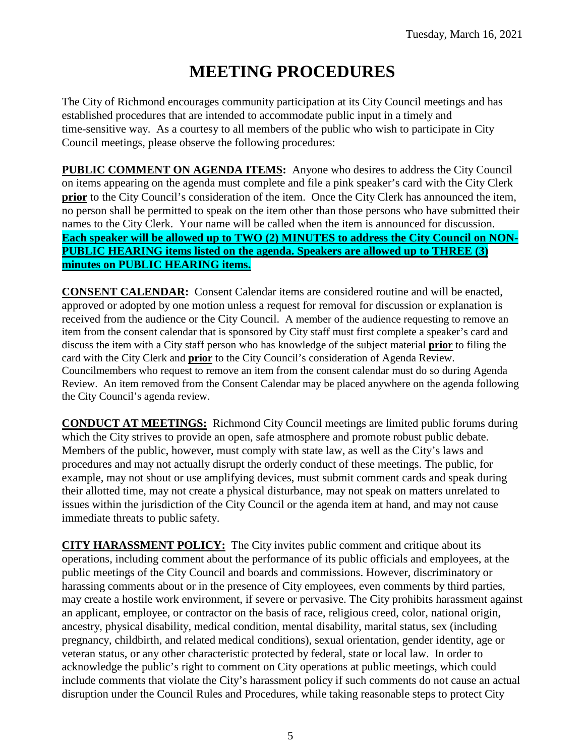# **MEETING PROCEDURES**

The City of Richmond encourages community participation at its City Council meetings and has established procedures that are intended to accommodate public input in a timely and time-sensitive way. As a courtesy to all members of the public who wish to participate in City Council meetings, please observe the following procedures:

**PUBLIC COMMENT ON AGENDA ITEMS:** Anyone who desires to address the City Council on items appearing on the agenda must complete and file a pink speaker's card with the City Clerk **prior** to the City Council's consideration of the item. Once the City Clerk has announced the item, no person shall be permitted to speak on the item other than those persons who have submitted their names to the City Clerk. Your name will be called when the item is announced for discussion. **Each speaker will be allowed up to TWO (2) MINUTES to address the City Council on NON-PUBLIC HEARING items listed on the agenda. Speakers are allowed up to THREE (3) minutes on PUBLIC HEARING items.**

**CONSENT CALENDAR:** Consent Calendar items are considered routine and will be enacted, approved or adopted by one motion unless a request for removal for discussion or explanation is received from the audience or the City Council. A member of the audience requesting to remove an item from the consent calendar that is sponsored by City staff must first complete a speaker's card and discuss the item with a City staff person who has knowledge of the subject material **prior** to filing the card with the City Clerk and **prior** to the City Council's consideration of Agenda Review. Councilmembers who request to remove an item from the consent calendar must do so during Agenda Review. An item removed from the Consent Calendar may be placed anywhere on the agenda following the City Council's agenda review.

**CONDUCT AT MEETINGS:** Richmond City Council meetings are limited public forums during which the City strives to provide an open, safe atmosphere and promote robust public debate. Members of the public, however, must comply with state law, as well as the City's laws and procedures and may not actually disrupt the orderly conduct of these meetings. The public, for example, may not shout or use amplifying devices, must submit comment cards and speak during their allotted time, may not create a physical disturbance, may not speak on matters unrelated to issues within the jurisdiction of the City Council or the agenda item at hand, and may not cause immediate threats to public safety.

**CITY HARASSMENT POLICY:** The City invites public comment and critique about its operations, including comment about the performance of its public officials and employees, at the public meetings of the City Council and boards and commissions. However, discriminatory or harassing comments about or in the presence of City employees, even comments by third parties, may create a hostile work environment, if severe or pervasive. The City prohibits harassment against an applicant, employee, or contractor on the basis of race, religious creed, color, national origin, ancestry, physical disability, medical condition, mental disability, marital status, sex (including pregnancy, childbirth, and related medical conditions), sexual orientation, gender identity, age or veteran status, or any other characteristic protected by federal, state or local law. In order to acknowledge the public's right to comment on City operations at public meetings, which could include comments that violate the City's harassment policy if such comments do not cause an actual disruption under the Council Rules and Procedures, while taking reasonable steps to protect City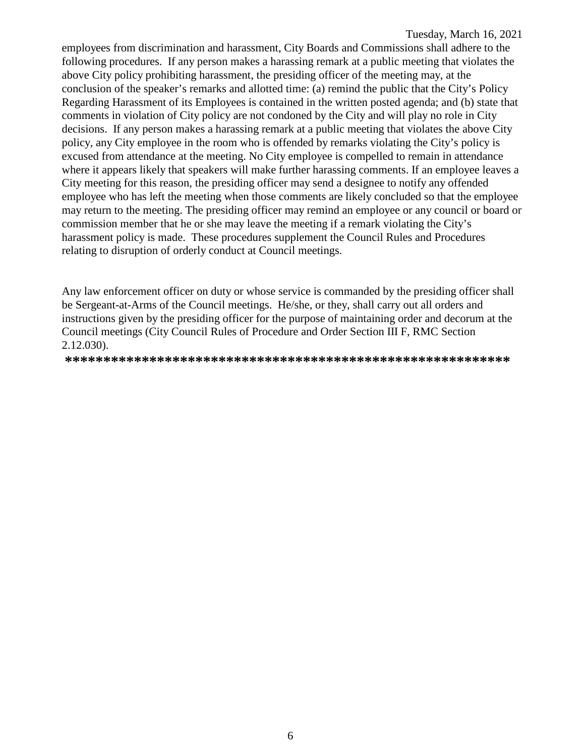employees from discrimination and harassment, City Boards and Commissions shall adhere to the following procedures. If any person makes a harassing remark at a public meeting that violates the above City policy prohibiting harassment, the presiding officer of the meeting may, at the conclusion of the speaker's remarks and allotted time: (a) remind the public that the City's Policy Regarding Harassment of its Employees is contained in the written posted agenda; and (b) state that comments in violation of City policy are not condoned by the City and will play no role in City decisions. If any person makes a harassing remark at a public meeting that violates the above City policy, any City employee in the room who is offended by remarks violating the City's policy is excused from attendance at the meeting. No City employee is compelled to remain in attendance where it appears likely that speakers will make further harassing comments. If an employee leaves a City meeting for this reason, the presiding officer may send a designee to notify any offended employee who has left the meeting when those comments are likely concluded so that the employee may return to the meeting. The presiding officer may remind an employee or any council or board or commission member that he or she may leave the meeting if a remark violating the City's harassment policy is made. These procedures supplement the Council Rules and Procedures relating to disruption of orderly conduct at Council meetings.

Any law enforcement officer on duty or whose service is commanded by the presiding officer shall be Sergeant-at-Arms of the Council meetings. He/she, or they, shall carry out all orders and instructions given by the presiding officer for the purpose of maintaining order and decorum at the Council meetings (City Council Rules of Procedure and Order Section III F, RMC Section 2.12.030).

**\*\*\*\*\*\*\*\*\*\*\*\*\*\*\*\*\*\*\*\*\*\*\*\*\*\*\*\*\*\*\*\*\*\*\*\*\*\*\*\*\*\*\*\*\*\*\*\*\*\*\*\*\*\*\*\*\*\***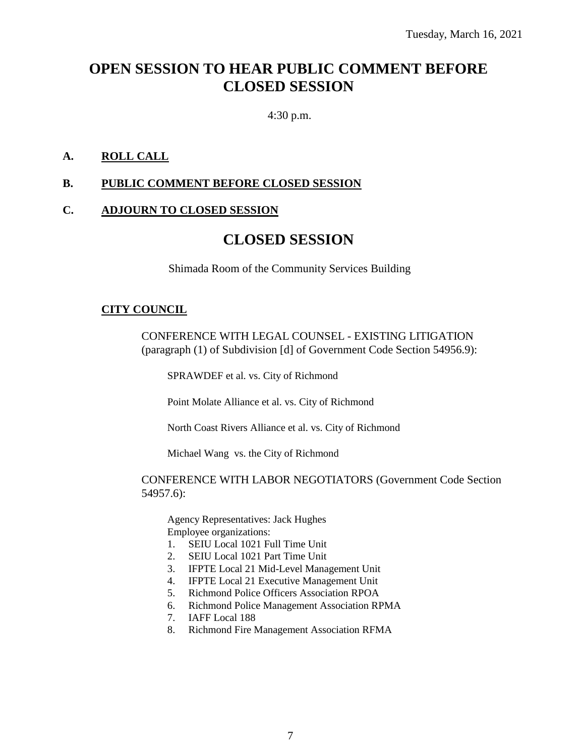### **OPEN SESSION TO HEAR PUBLIC COMMENT BEFORE CLOSED SESSION**

4:30 p.m.

### **A. ROLL CALL**

### **B. PUBLIC COMMENT BEFORE CLOSED SESSION**

### **C. ADJOURN TO CLOSED SESSION**

### **CLOSED SESSION**

Shimada Room of the Community Services Building

### **CITY COUNCIL**

CONFERENCE WITH LEGAL COUNSEL - EXISTING LITIGATION (paragraph (1) of Subdivision [d] of Government Code Section 54956.9):

SPRAWDEF et al. vs. City of Richmond

Point Molate Alliance et al. vs. City of Richmond

North Coast Rivers Alliance et al. vs. City of Richmond

Michael Wang vs. the City of Richmond

#### CONFERENCE WITH LABOR NEGOTIATORS (Government Code Section 54957.6):

Agency Representatives: Jack Hughes Employee organizations:

- 1. SEIU Local 1021 Full Time Unit
- 2. SEIU Local 1021 Part Time Unit
- 3. IFPTE Local 21 Mid-Level Management Unit
- 4. IFPTE Local 21 Executive Management Unit
- 5. Richmond Police Officers Association RPOA
- 6. Richmond Police Management Association RPMA
- 7. IAFF Local 188
- 8. Richmond Fire Management Association RFMA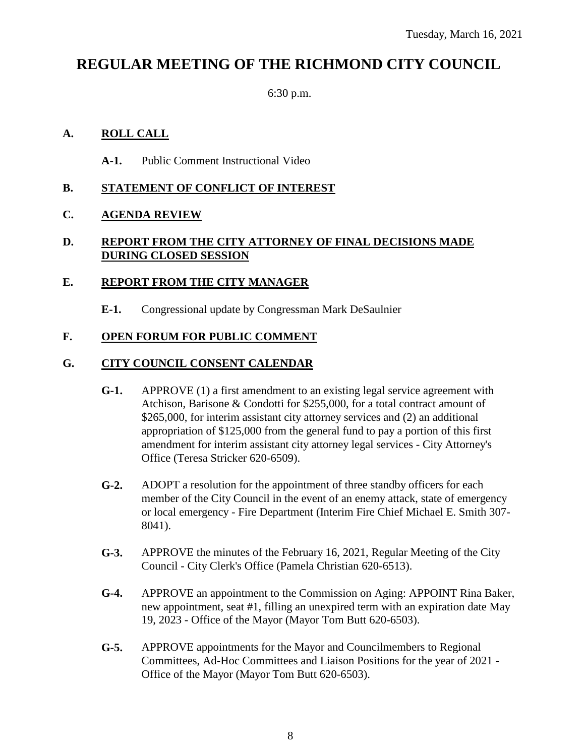### **REGULAR MEETING OF THE RICHMOND CITY COUNCIL**

6:30 p.m.

### **A. ROLL CALL**

**A-1.** Public Comment Instructional Video

### **B. STATEMENT OF CONFLICT OF INTEREST**

### **C. AGENDA REVIEW**

### **D. REPORT FROM THE CITY ATTORNEY OF FINAL DECISIONS MADE DURING CLOSED SESSION**

### **E. REPORT FROM THE CITY MANAGER**

**E-1.** Congressional update by Congressman Mark DeSaulnier

### **F. OPEN FORUM FOR PUBLIC COMMENT**

### **G. CITY COUNCIL CONSENT CALENDAR**

- **G-1.** APPROVE (1) a first amendment to an existing legal service agreement with Atchison, Barisone & Condotti for \$255,000, for a total contract amount of \$265,000, for interim assistant city attorney services and (2) an additional appropriation of \$125,000 from the general fund to pay a portion of this first amendment for interim assistant city attorney legal services - City Attorney's Office (Teresa Stricker 620-6509).
- **G-2.** ADOPT a resolution for the appointment of three standby officers for each member of the City Council in the event of an enemy attack, state of emergency or local emergency - Fire Department (Interim Fire Chief Michael E. Smith 307- 8041).
- **G-3.** APPROVE the minutes of the February 16, 2021, Regular Meeting of the City Council - City Clerk's Office (Pamela Christian 620-6513).
- **G-4.** APPROVE an appointment to the Commission on Aging: APPOINT Rina Baker, new appointment, seat #1, filling an unexpired term with an expiration date May 19, 2023 - Office of the Mayor (Mayor Tom Butt 620-6503).
- **G-5.** APPROVE appointments for the Mayor and Councilmembers to Regional Committees, Ad-Hoc Committees and Liaison Positions for the year of 2021 - Office of the Mayor (Mayor Tom Butt 620-6503).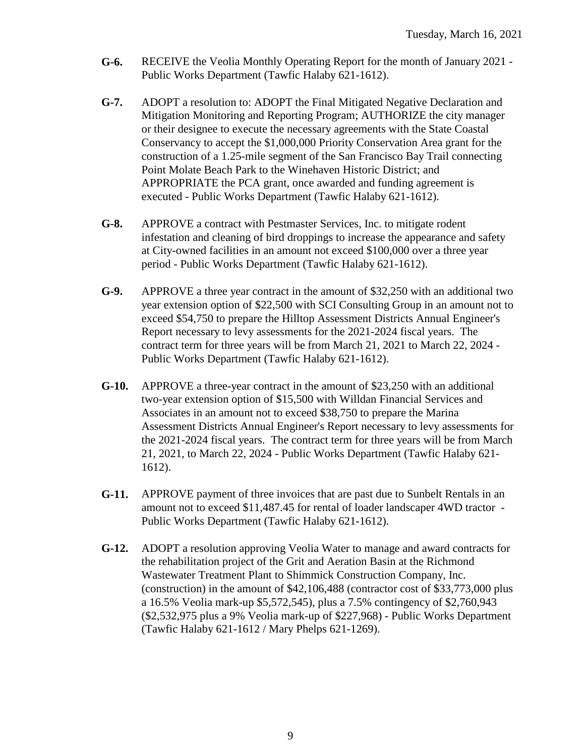- **G-6.** RECEIVE the Veolia Monthly Operating Report for the month of January 2021 Public Works Department (Tawfic Halaby 621-1612).
- **G-7.** ADOPT a resolution to: ADOPT the Final Mitigated Negative Declaration and Mitigation Monitoring and Reporting Program; AUTHORIZE the city manager or their designee to execute the necessary agreements with the State Coastal Conservancy to accept the \$1,000,000 Priority Conservation Area grant for the construction of a 1.25-mile segment of the San Francisco Bay Trail connecting Point Molate Beach Park to the Winehaven Historic District; and APPROPRIATE the PCA grant, once awarded and funding agreement is executed - Public Works Department (Tawfic Halaby 621-1612).
- **G-8.** APPROVE a contract with Pestmaster Services, Inc. to mitigate rodent infestation and cleaning of bird droppings to increase the appearance and safety at City-owned facilities in an amount not exceed \$100,000 over a three year period - Public Works Department (Tawfic Halaby 621-1612).
- **G-9.** APPROVE a three year contract in the amount of \$32,250 with an additional two year extension option of \$22,500 with SCI Consulting Group in an amount not to exceed \$54,750 to prepare the Hilltop Assessment Districts Annual Engineer's Report necessary to levy assessments for the 2021-2024 fiscal years. The contract term for three years will be from March 21, 2021 to March 22, 2024 - Public Works Department (Tawfic Halaby 621-1612).
- **G-10.** APPROVE a three-year contract in the amount of \$23,250 with an additional two-year extension option of \$15,500 with Willdan Financial Services and Associates in an amount not to exceed \$38,750 to prepare the Marina Assessment Districts Annual Engineer's Report necessary to levy assessments for the 2021-2024 fiscal years. The contract term for three years will be from March 21, 2021, to March 22, 2024 - Public Works Department (Tawfic Halaby 621- 1612).
- **G-11.** APPROVE payment of three invoices that are past due to Sunbelt Rentals in an amount not to exceed \$11,487.45 for rental of loader landscaper 4WD tractor - Public Works Department (Tawfic Halaby 621-1612).
- **G-12.** ADOPT a resolution approving Veolia Water to manage and award contracts for the rehabilitation project of the Grit and Aeration Basin at the Richmond Wastewater Treatment Plant to Shimmick Construction Company, Inc. (construction) in the amount of \$42,106,488 (contractor cost of \$33,773,000 plus a 16.5% Veolia mark-up \$5,572,545), plus a 7.5% contingency of \$2,760,943 (\$2,532,975 plus a 9% Veolia mark-up of \$227,968) - Public Works Department (Tawfic Halaby 621-1612 / Mary Phelps 621-1269).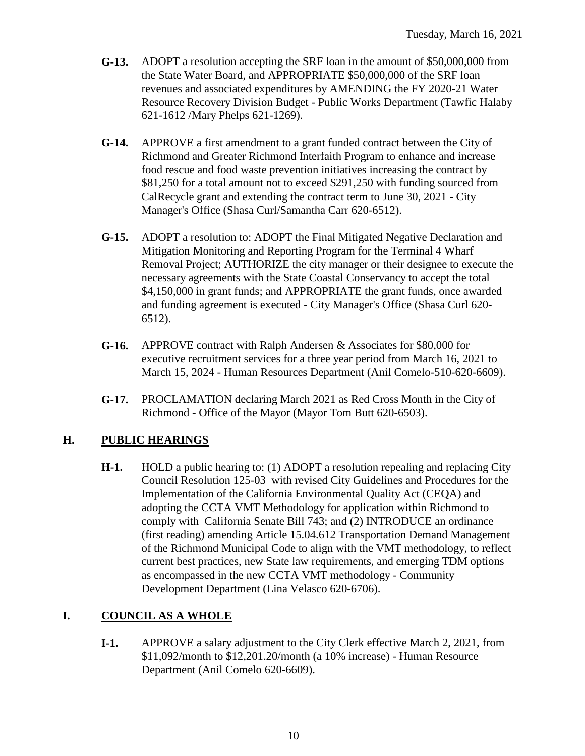- **G-13.** ADOPT a resolution accepting the SRF loan in the amount of \$50,000,000 from the State Water Board, and APPROPRIATE \$50,000,000 of the SRF loan revenues and associated expenditures by AMENDING the FY 2020-21 Water Resource Recovery Division Budget - Public Works Department (Tawfic Halaby 621-1612 /Mary Phelps 621-1269).
- **G-14.** APPROVE a first amendment to a grant funded contract between the City of Richmond and Greater Richmond Interfaith Program to enhance and increase food rescue and food waste prevention initiatives increasing the contract by \$81,250 for a total amount not to exceed \$291,250 with funding sourced from CalRecycle grant and extending the contract term to June 30, 2021 - City Manager's Office (Shasa Curl/Samantha Carr 620-6512).
- **G-15.** ADOPT a resolution to: ADOPT the Final Mitigated Negative Declaration and Mitigation Monitoring and Reporting Program for the Terminal 4 Wharf Removal Project; AUTHORIZE the city manager or their designee to execute the necessary agreements with the State Coastal Conservancy to accept the total \$4,150,000 in grant funds; and APPROPRIATE the grant funds, once awarded and funding agreement is executed - City Manager's Office (Shasa Curl 620- 6512).
- **G-16.** APPROVE contract with Ralph Andersen & Associates for \$80,000 for executive recruitment services for a three year period from March 16, 2021 to March 15, 2024 - Human Resources Department (Anil Comelo-510-620-6609).
- **G-17.** PROCLAMATION declaring March 2021 as Red Cross Month in the City of Richmond - Office of the Mayor (Mayor Tom Butt 620-6503).

### **H. PUBLIC HEARINGS**

**H-1.** HOLD a public hearing to: (1) ADOPT a resolution repealing and replacing City Council Resolution 125-03 with revised City Guidelines and Procedures for the Implementation of the California Environmental Quality Act (CEQA) and adopting the CCTA VMT Methodology for application within Richmond to comply with California Senate Bill 743; and (2) INTRODUCE an ordinance (first reading) amending Article 15.04.612 Transportation Demand Management of the Richmond Municipal Code to align with the VMT methodology, to reflect current best practices, new State law requirements, and emerging TDM options as encompassed in the new CCTA VMT methodology - Community Development Department (Lina Velasco 620-6706).

### **I. COUNCIL AS A WHOLE**

**I-1.** APPROVE a salary adjustment to the City Clerk effective March 2, 2021, from \$11,092/month to \$12,201.20/month (a 10% increase) - Human Resource Department (Anil Comelo 620-6609).